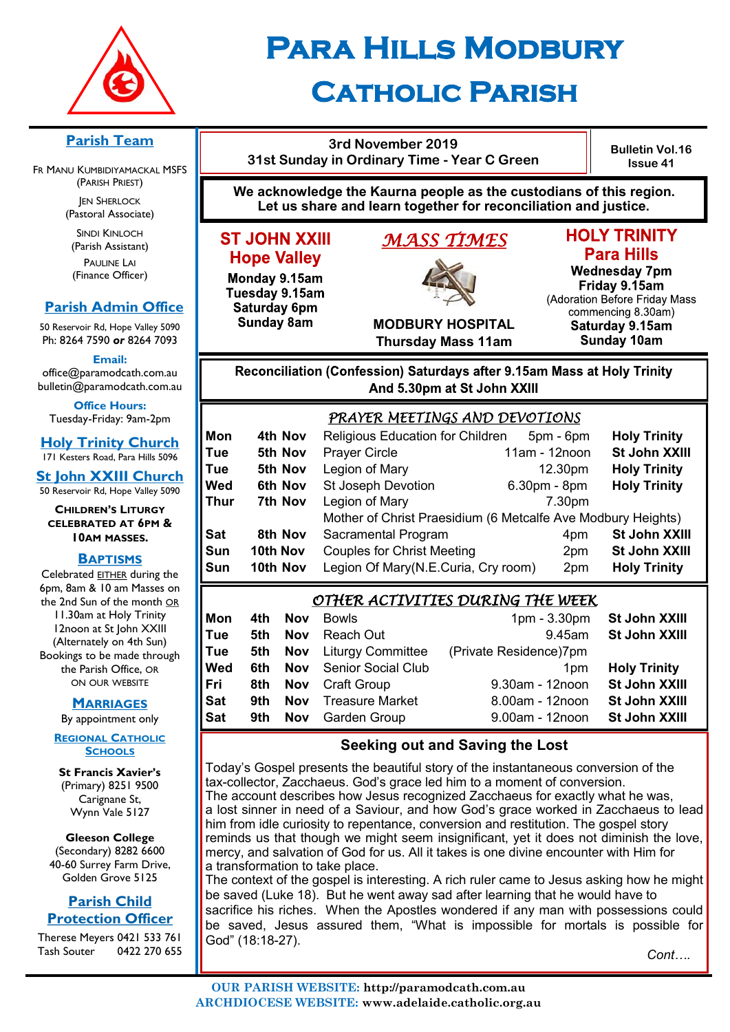

# **Para Hills Modbury Catholic Parish**

**We acknowledge the Kaurna people as the custodians of this region.** 

### **Parish Team**

FR MANU KUMBIDIYAMACKAL MSFS (PARISH PRIEST) **JEN SHERLOCK** 

(Pastoral Associate)

SINDI KINLOCH (Parish Assistant) PAULINE LAI (Finance Officer)

### **Parish Admin Office**

50 Reservoir Rd, Hope Valley 5090 Ph: 8264 7590 *or* 8264 7093

**Email:** 

office@paramodcath.com.au bulletin@paramodcath.com.au

**Office Hours:**  Tuesday-Friday: 9am-2pm

**Holy Trinity Church** 171 Kesters Road, Para Hills 5096

**St John XXIII Church** 50 Reservoir Rd, Hope Valley 5090

**CHILDREN'S LITURGY CELEBRATED AT 6PM & 10AM MASSES.**

### **BAPTISMS**

Celebrated EITHER during the 6pm, 8am & 10 am Masses on the 2nd Sun of the month OR 11.30am at Holy Trinity 12noon at St John XXIII (Alternately on 4th Sun) Bookings to be made through the Parish Office, OR ON OUR WEBSITE

### **MARRIAGES**

By appointment only

**REGIONAL CATHOLIC SCHOOLS**

**St Francis Xavier's**  (Primary) 8251 9500 Carignane St, Wynn Vale 5127

**Gleeson College**  (Secondary) 8282 6600 40-60 Surrey Farm Drive, Golden Grove 5125

### **Parish Child Protection Officer**

Therese Meyers 0421 533 761 Tash Souter 0422 270 655

## **Let us share and learn together for reconciliation and justice.** *MASS TIMES*

**3rd November 2019 31st Sunday in Ordinary Time - Year C Green** 

**ST JOHN XXIII** 

**Hope Valley** 

Monday 9.15am

Tuesday 9.15am

Saturday 6pm

**Sunday 8am** 

## **HOLY TRINITY**

**Bulletin Vol.16 Issue 41**

**Para Hills Wednesday 7pm** Friday 9.15am (Adoration Before Friday Mass commencing 8.30am) Saturday 9.15am **Sunday 10am** 

**MODBURY HOSPITAL Thursday Mass 11am**

### Reconciliation (Confession) Saturdays after 9.15am Mass at Holy Trinity And 5.30pm at St John XXIII

|      |          | PRAYER MEETINGS AND DEVOTIONS                                |               |                     |
|------|----------|--------------------------------------------------------------|---------------|---------------------|
| Mon  | 4th Nov  | Religious Education for Children                             | 5pm - 6pm     | <b>Holy Trinity</b> |
| Tue  | 5th Nov  | <b>Prayer Circle</b>                                         | 11am - 12noon | St John XXIII       |
| Tue  | 5th Nov  | Legion of Mary                                               | 12.30pm       | <b>Holy Trinity</b> |
| Wed  | 6th Nov  | <b>St Joseph Devotion</b>                                    | 6.30pm - 8pm  | <b>Holy Trinity</b> |
| Thur | 7th Nov  | Legion of Mary                                               | 7.30pm        |                     |
|      |          | Mother of Christ Praesidium (6 Metcalfe Ave Modbury Heights) |               |                     |
| Sat  | 8th Nov  | Sacramental Program                                          | 4pm           | St John XXIII       |
| Sun  | 10th Nov | <b>Couples for Christ Meeting</b>                            | 2pm           | St John XXIII       |
| Sun  | 10th Nov | Legion Of Mary(N.E.Curia, Cry room)                          | 2pm           | <b>Holy Trinity</b> |

### *OTHER ACTIVITIES DURING THE WEEK*

| Mon | 4th  | <b>Nov</b> | <b>Bowls</b>                     | $1pm - 3.30pm$         | St John XXIII       |
|-----|------|------------|----------------------------------|------------------------|---------------------|
| Tue | 5th  | Nov        | Reach Out                        | 9.45am                 | St John XXIII       |
| Tue |      |            | <b>5th Nov</b> Liturgy Committee | (Private Residence)7pm |                     |
| Wed | 6th. |            | <b>Nov</b> Senior Social Club    | 1 <sub>pm</sub>        | <b>Holy Trinity</b> |
| Fri | 8th  |            | <b>Nov</b> Craft Group           | 9.30am - 12noon        | St John XXIII       |
| Sat | 9th. | <b>Nov</b> | <b>Treasure Market</b>           | 8.00am - 12noon        | St John XXIII       |
| Sat | 9th  |            | <b>Nov</b> Garden Group          | 9.00am - 12noon        | St John XXIII       |

### **Seeking out and Saving the Lost**

Today's Gospel presents the beautiful story of the instantaneous conversion of the tax-collector, Zacchaeus. God's grace led him to a moment of conversion. The account describes how Jesus recognized Zacchaeus for exactly what he was, a lost sinner in need of a Saviour, and how God's grace worked in Zacchaeus to lead him from idle curiosity to repentance, conversion and restitution. The gospel story reminds us that though we might seem insignificant, yet it does not diminish the love, mercy, and salvation of God for us. All it takes is one divine encounter with Him for a transformation to take place.

The context of the gospel is interesting. A rich ruler came to Jesus asking how he might be saved (Luke 18). But he went away sad after learning that he would have to sacrifice his riches. When the Apostles wondered if any man with possessions could be saved, Jesus assured them, "What is impossible for mortals is possible for God" (18:18-27).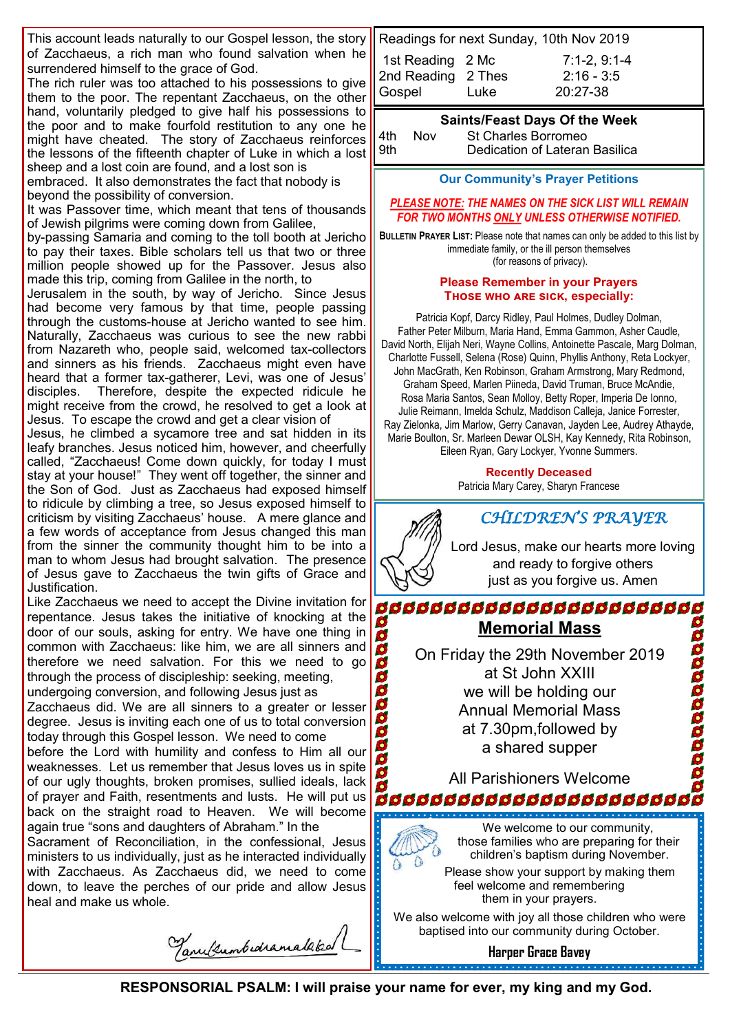This account leads naturally to our Gospel lesson, the story of Zacchaeus, a rich man who found salvation when he surrendered himself to the grace of God.

The rich ruler was too attached to his possessions to give them to the poor. The repentant Zacchaeus, on the other hand, voluntarily pledged to give half his possessions to the poor and to make fourfold restitution to any one he might have cheated. The story of Zacchaeus reinforces the lessons of the fifteenth chapter of Luke in which a lost sheep and a lost coin are found, and a lost son is

embraced. It also demonstrates the fact that nobody is beyond the possibility of conversion.

It was Passover time, which meant that tens of thousands of Jewish pilgrims were coming down from Galilee,

by-passing Samaria and coming to the toll booth at Jericho to pay their taxes. Bible scholars tell us that two or three million people showed up for the Passover. Jesus also made this trip, coming from Galilee in the north, to

Jerusalem in the south, by way of Jericho. Since Jesus had become very famous by that time, people passing through the customs-house at Jericho wanted to see him. Naturally, Zacchaeus was curious to see the new rabbi from Nazareth who, people said, welcomed tax-collectors and sinners as his friends. Zacchaeus might even have heard that a former tax-gatherer, Levi, was one of Jesus' disciples. Therefore, despite the expected ridicule he might receive from the crowd, he resolved to get a look at Jesus. To escape the crowd and get a clear vision of

Jesus, he climbed a sycamore tree and sat hidden in its leafy branches. Jesus noticed him, however, and cheerfully called, "Zacchaeus! Come down quickly, for today I must stay at your house!" They went off together, the sinner and the Son of God. Just as Zacchaeus had exposed himself to ridicule by climbing a tree, so Jesus exposed himself to criticism by visiting Zacchaeus' house. A mere glance and a few words of acceptance from Jesus changed this man from the sinner the community thought him to be into a man to whom Jesus had brought salvation. The presence of Jesus gave to Zacchaeus the twin gifts of Grace and Justification.

Like Zacchaeus we need to accept the Divine invitation for repentance. Jesus takes the initiative of knocking at the door of our souls, asking for entry. We have one thing in common with Zacchaeus: like him, we are all sinners and therefore we need salvation. For this we need to go through the process of discipleship: seeking, meeting,

undergoing conversion, and following Jesus just as Zacchaeus did. We are all sinners to a greater or lesser degree. Jesus is inviting each one of us to total conversion today through this Gospel lesson. We need to come

before the Lord with humility and confess to Him all our weaknesses. Let us remember that Jesus loves us in spite of our ugly thoughts, broken promises, sullied ideals, lack of prayer and Faith, resentments and lusts. He will put us back on the straight road to Heaven. We will become again true "sons and daughters of Abraham." In the

Sacrament of Reconciliation, in the confessional, Jesus ministers to us individually, just as he interacted individually with Zacchaeus. As Zacchaeus did, we need to come down, to leave the perches of our pride and allow Jesus heal and make us whole.

Tanulumburamalaked

| Readings for next Sunday, 10th Nov 2019 |      |                |
|-----------------------------------------|------|----------------|
| 1st Reading 2 Mc                        |      | $7:1-2, 9:1-4$ |
| 2nd Reading 2 Thes                      |      | $2:16 - 3:5$   |
| Gospel                                  | Luke | $20:27-38$     |
|                                         |      |                |

#### **Saints/Feast Days Of the Week**

| 4th | Nov |  |
|-----|-----|--|
| 9th |     |  |

St Charles Borromeo Dedication of Lateran Basilica

**Our Community's Prayer Petitions** 

#### *PLEASE NOTE: THE NAMES ON THE SICK LIST WILL REMAIN FOR TWO MONTHS ONLY UNLESS OTHERWISE NOTIFIED.*

**BULLETIN PRAYER LIST:** Please note that names can only be added to this list by immediate family, or the ill person themselves (for reasons of privacy).

#### **Please Remember in your Prayers Those who are sick, especially:**

Patricia Kopf, Darcy Ridley, Paul Holmes, Dudley Dolman, Father Peter Milburn, Maria Hand, Emma Gammon, Asher Caudle, David North, Elijah Neri, Wayne Collins, Antoinette Pascale, Marg Dolman, Charlotte Fussell, Selena (Rose) Quinn, Phyllis Anthony, Reta Lockyer, John MacGrath, Ken Robinson, Graham Armstrong, Mary Redmond, Graham Speed, Marlen Piineda, David Truman, Bruce McAndie, Rosa Maria Santos, Sean Molloy, Betty Roper, Imperia De Ionno, Julie Reimann, Imelda Schulz, Maddison Calleja, Janice Forrester, Ray Zielonka, Jim Marlow, Gerry Canavan, Jayden Lee, Audrey Athayde, Marie Boulton, Sr. Marleen Dewar OLSH, Kay Kennedy, Rita Robinson, Eileen Ryan, Gary Lockyer, Yvonne Summers.

**Recently Deceased**

Patricia Mary Carey, Sharyn Francese



Lord Jesus, make our hearts more loving and ready to forgive others just as you forgive us. Amen

**Memorial Mass**

On Friday the 29th November 2019 at St John XXIII we will be holding our Annual Memorial Mass at 7.30pm,followed by a shared supper

All Parishioners Welcome.<br>666666666666666666666666



We welcome to our community, those families who are preparing for their children's baptism during November.

Please show your support by making them feel welcome and remembering them in your prayers.

We also welcome with joy all those children who were baptised into our community during October.

**Harper Grace Bavey**

**RESPONSORIAL PSALM: I will praise your name for ever, my king and my God.**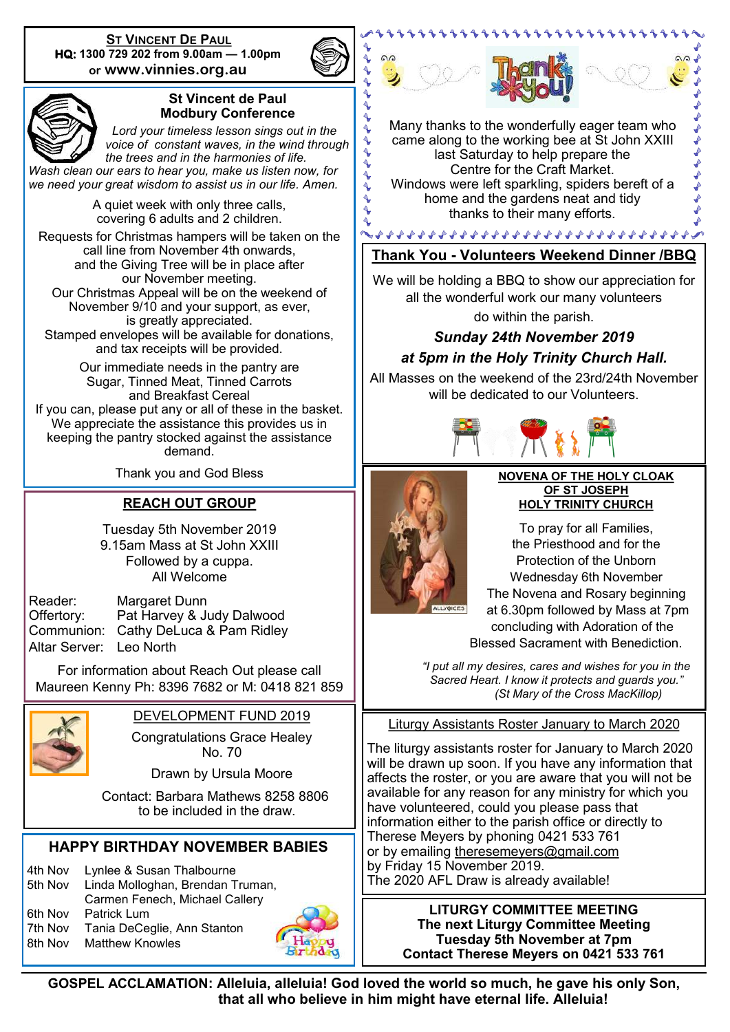**ST VINCENT DE PAUL HQ: 1300 729 202 from 9.00am — 1.00pm or www.vinnies.org.au** 



4  $\blacklozenge$  $\tilde{\blacklozenge}$  $\ddot{\textbf{z}}$  $\ddot{\sim}$  $\triangle$  $\ddot{\textbf{r}}$ 



### **St Vincent de Paul Modbury Conference**

 *Lord your timeless lesson sings out in the voice of constant waves, in the wind through the trees and in the harmonies of life.* 

*Wash clean our ears to hear you, make us listen now, for we need your great wisdom to assist us in our life. Amen.*

> A quiet week with only three calls, covering 6 adults and 2 children.

Requests for Christmas hampers will be taken on the call line from November 4th onwards, and the Giving Tree will be in place after our November meeting. Our Christmas Appeal will be on the weekend of November 9/10 and your support, as ever, is greatly appreciated. Stamped envelopes will be available for donations, and tax receipts will be provided.

Our immediate needs in the pantry are Sugar, Tinned Meat, Tinned Carrots and Breakfast Cereal If you can, please put any or all of these in the basket. We appreciate the assistance this provides us in keeping the pantry stocked against the assistance demand.

Thank you and God Bless

### **REACH OUT GROUP**

Tuesday 5th November 2019 9.15am Mass at St John XXIII Followed by a cuppa. All Welcome

Altar Server: Leo North

Reader: Margaret Dunn Offertory: Pat Harvey & Judy Dalwood Communion: Cathy DeLuca & Pam Ridley

For information about Reach Out please call Maureen Kenny Ph: 8396 7682 or M: 0418 821 859



### DEVELOPMENT FUND 2019

Congratulations Grace Healey No. 70

Drawn by Ursula Moore

 Contact: Barbara Mathews 8258 8806 to be included in the draw.

### **HAPPY BIRTHDAY NOVEMBER BABIES**

4th Nov Lynlee & Susan Thalbourne 5th Nov Linda Molloghan, Brendan Truman, Carmen Fenech, Michael Callery 6th Nov Patrick Lum 7th Nov Tania DeCeglie, Ann Stanton 8th Nov Matthew Knowles







11111111111111



Many thanks to the wonderfully eager team who came along to the working bee at St John XXIII last Saturday to help prepare the Centre for the Craft Market. Windows were left sparkling, spiders bereft of a home and the gardens neat and tidy thanks to their many efforts.

### **Thank You - Volunteers Weekend Dinner /BBQ**

We will be holding a BBQ to show our appreciation for all the wonderful work our many volunteers

do within the parish.

### *Sunday 24th November 2019 at 5pm in the Holy Trinity Church Hall.*

All Masses on the weekend of the 23rd/24th November will be dedicated to our Volunteers.





#### **NOVENA OF THE HOLY CLOAK OF ST JOSEPH HOLY TRINITY CHURCH**

To pray for all Families, the Priesthood and for the Protection of the Unborn Wednesday 6th November The Novena and Rosary beginning at 6.30pm followed by Mass at 7pm concluding with Adoration of the Blessed Sacrament with Benediction.

*"I put all my desires, cares and wishes for you in the Sacred Heart. I know it protects and guards you." (St Mary of the Cross MacKillop)*

Liturgy Assistants Roster January to March 2020

The liturgy assistants roster for January to March 2020 will be drawn up soon. If you have any information that affects the roster, or you are aware that you will not be available for any reason for any ministry for which you have volunteered, could you please pass that information either to the parish office or directly to Therese Meyers by phoning 0421 533 761 or by emailing [theresemeyers@gmail.com](mailto:theresemeyers@gmail.com) by Friday 15 November 2019. The 2020 AFL Draw is already available!

**LITURGY COMMITTEE MEETING The next Liturgy Committee Meeting Tuesday 5th November at 7pm Contact Therese Meyers on 0421 533 761**

**GOSPEL ACCLAMATION: Alleluia, alleluia! God loved the world so much, he gave his only Son, that all who believe in him might have eternal life. Alleluia!**